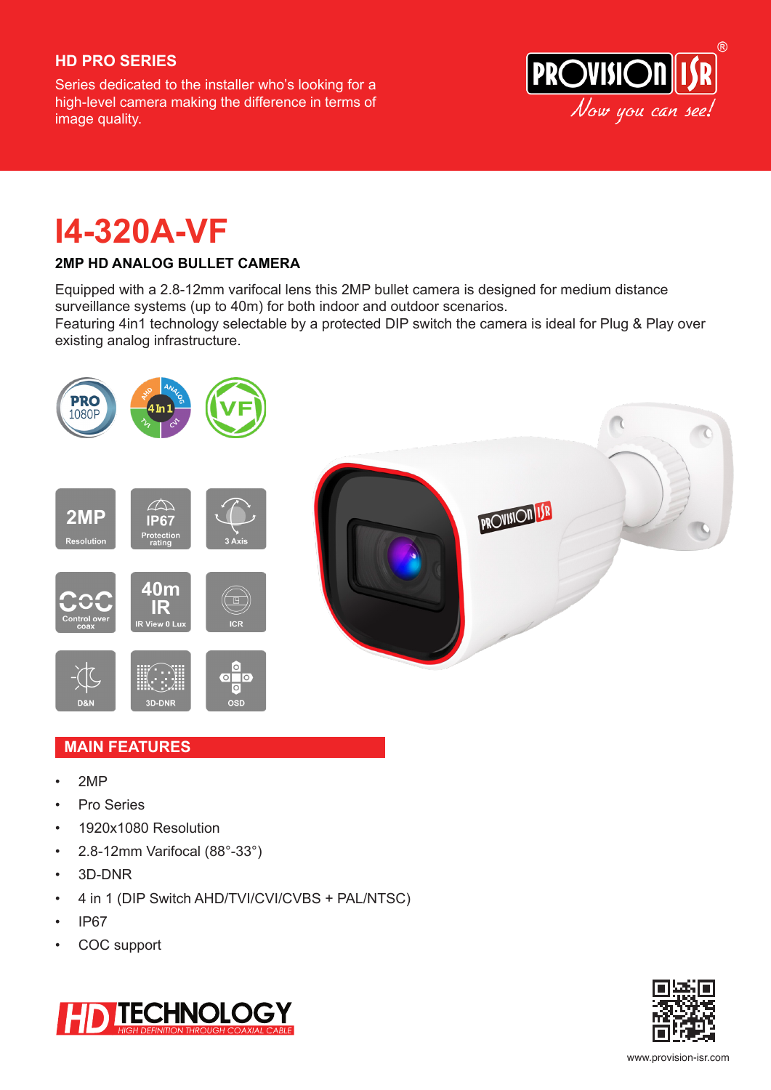### **HD PRO SERIES**

Series dedicated to the installer who's looking for a high-level camera making the difference in terms of image quality.



# **I4-320A-VF**

#### **2MP HD ANALOG BULLET CAMERA**

Equipped with a 2.8-12mm varifocal lens this 2MP bullet camera is designed for medium distance surveillance systems (up to 40m) for both indoor and outdoor scenarios.

Featuring 4in1 technology selectable by a protected DIP switch the camera is ideal for Plug & Play over existing analog infrastructure.



### **MAIN FEATURES**

- 2MP
- Pro Series
- 1920x1080 Resolution
- 2.8-12mm Varifocal (88°-33°)
- 3D-DNR
- 4 in 1 (DIP Switch AHD/TVI/CVI/CVBS + PAL/NTSC)
- IP67
- COC support



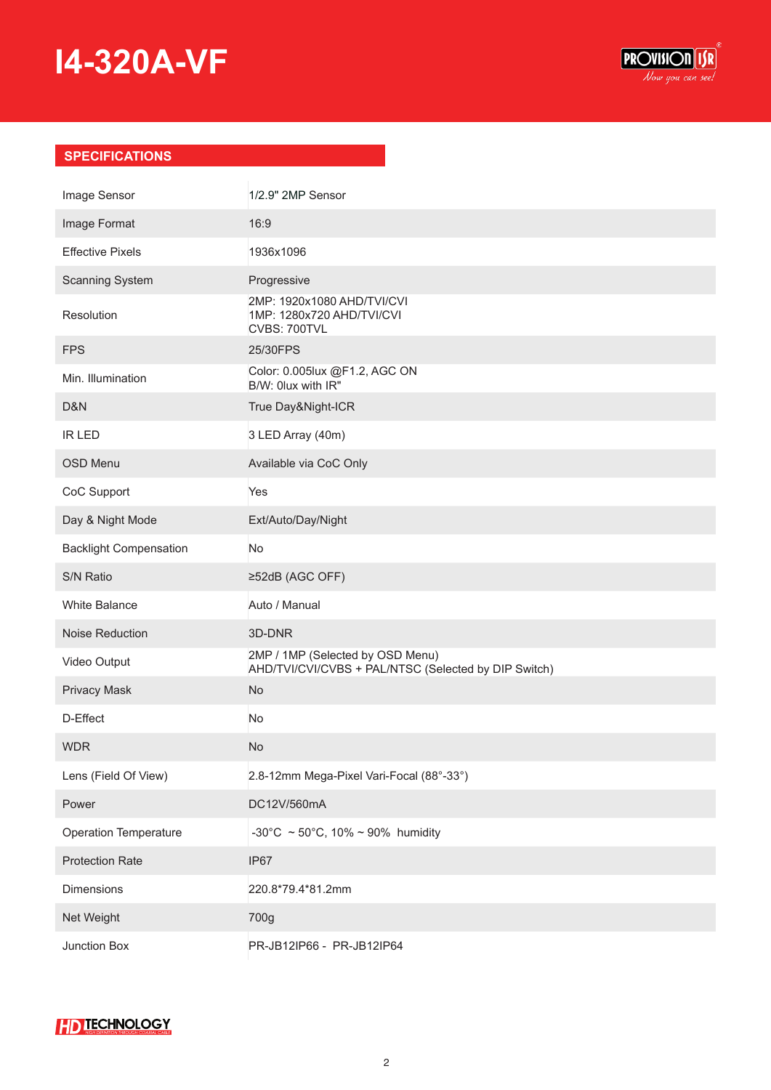## **I4-320A-VF**



### **SPECIFICATIONS**

| Image Sensor                  | 1/2.9" 2MP Sensor                                                                        |
|-------------------------------|------------------------------------------------------------------------------------------|
| Image Format                  | 16:9                                                                                     |
| <b>Effective Pixels</b>       | 1936x1096                                                                                |
| <b>Scanning System</b>        | Progressive                                                                              |
| Resolution                    | 2MP: 1920x1080 AHD/TVI/CVI<br>1MP: 1280x720 AHD/TVI/CVI<br>CVBS: 700TVL                  |
| <b>FPS</b>                    | 25/30FPS                                                                                 |
| Min. Illumination             | Color: 0.005lux @F1.2, AGC ON<br>B/W: 0lux with IR"                                      |
| D&N                           | True Day&Night-ICR                                                                       |
| <b>IR LED</b>                 | 3 LED Array (40m)                                                                        |
| OSD Menu                      | Available via CoC Only                                                                   |
| CoC Support                   | Yes                                                                                      |
| Day & Night Mode              | Ext/Auto/Day/Night                                                                       |
| <b>Backlight Compensation</b> | No                                                                                       |
| S/N Ratio                     | ≥52dB (AGC OFF)                                                                          |
| <b>White Balance</b>          | Auto / Manual                                                                            |
| Noise Reduction               | 3D-DNR                                                                                   |
| Video Output                  | 2MP / 1MP (Selected by OSD Menu)<br>AHD/TVI/CVI/CVBS + PAL/NTSC (Selected by DIP Switch) |
| <b>Privacy Mask</b>           | <b>No</b>                                                                                |
| D-Effect                      | No                                                                                       |
| <b>WDR</b>                    | No                                                                                       |
| Lens (Field Of View)          | 2.8-12mm Mega-Pixel Vari-Focal (88°-33°)                                                 |
| Power                         | DC12V/560mA                                                                              |
| <b>Operation Temperature</b>  | -30°C ~ 50°C, 10% ~ 90% humidity                                                         |
| <b>Protection Rate</b>        | IP67                                                                                     |
| Dimensions                    | 220.8*79.4*81.2mm                                                                        |
| Net Weight                    | 700g                                                                                     |
| Junction Box                  | PR-JB12IP66 - PR-JB12IP64                                                                |

## **HD TECHNOLOGY**